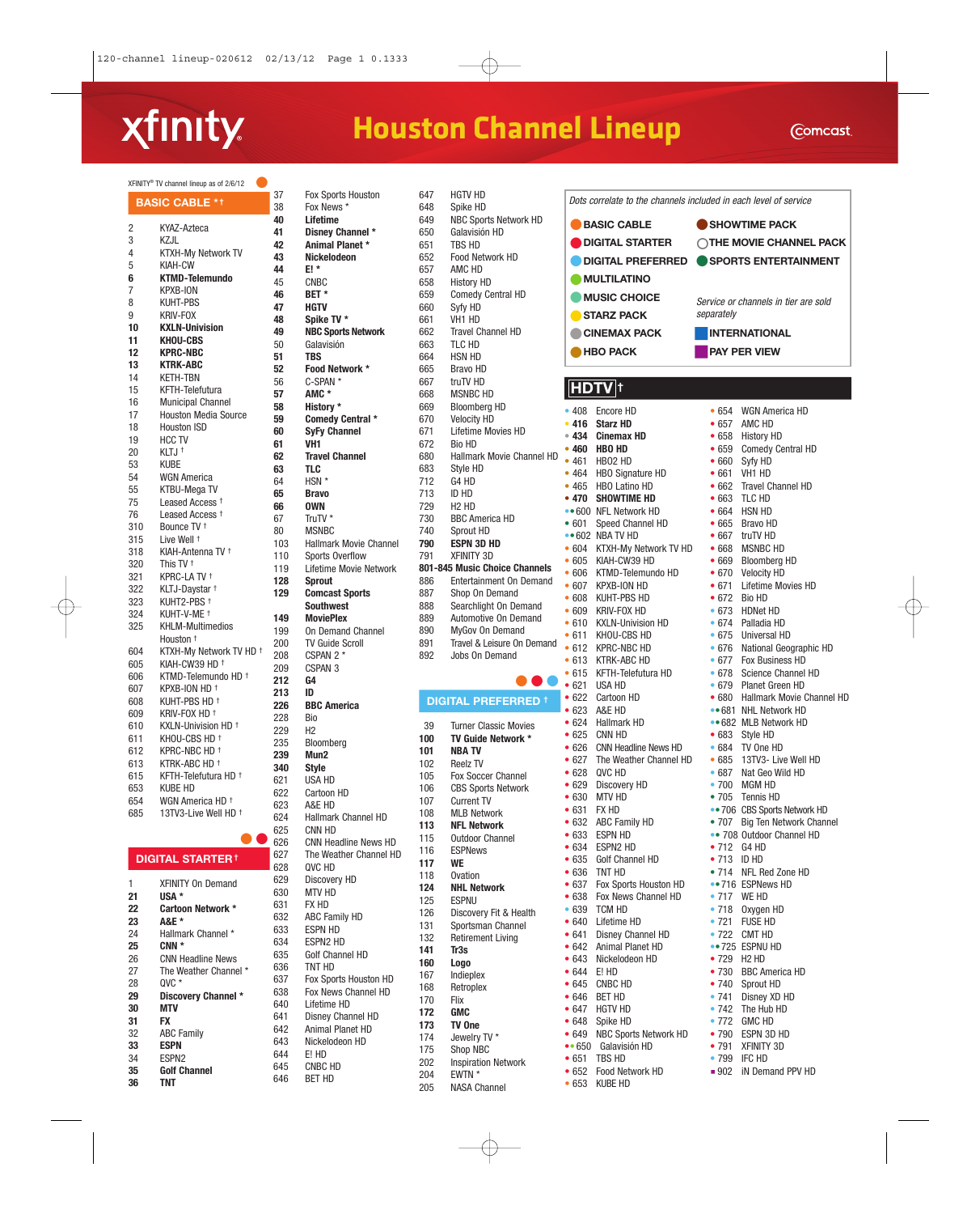# xfinity

## **Houston Channel Lineup**

205 NASA Channel

• 653 KUBE HD

|            | XFINITY® TV channel lineup as of 2/6/12         |            |
|------------|-------------------------------------------------|------------|
|            | <b>BASIC CABLE *1</b>                           | 37<br>38   |
|            |                                                 | 40         |
| 2          | KYAZ-Azteca                                     | 41         |
| 3          | KZJL                                            | 42         |
| 4          | <b>KTXH-My Network TV</b>                       | 43         |
| 5          | <b>KIAH-CW</b>                                  | 44         |
| 6          | <b>KTMD-Telemundo</b>                           | 45         |
| 7          | <b>KPXB-ION</b>                                 | 46         |
| 8          | KUHT-PBS                                        | 47         |
| 9          | KRIV-FOX                                        | 48         |
| 10<br>11   | <b>KXLN-Univision</b><br><b>KHOU-CBS</b>        | 49         |
|            | <b>KPRC-NBC</b>                                 | 50         |
| 12<br>13   | <b>KTRK-ABC</b>                                 | 51         |
| 14         | <b>KETH-TBN</b>                                 | 52         |
| 15         | KFTH-Telefutura                                 | 56         |
| 16         | <b>Municipal Channel</b>                        | 57         |
| 17         | <b>Houston Media Source</b>                     | 58         |
| 18         | Houston ISD                                     | 59         |
| 19         | HCC TV                                          | 60         |
| 20         | KLTJ <sup>+</sup>                               | 61         |
| 53         | Kube                                            | 62         |
| 54         | <b>WGN America</b>                              | 63<br>64   |
| 55         | KTBU-Mega TV                                    | 65         |
| 75         | Leased Access +                                 | 66         |
| 76         | Leased Access +                                 | 67         |
| 310        | Bounce TV <sup>+</sup>                          | 80         |
| 315        | Live Well <sup>+</sup>                          | 103        |
| 318        | KIAH-Antenna TV †                               | 110        |
| 320        | This TV <sup>+</sup>                            | 119        |
| 321        | KPRC-LA TV <sup>+</sup>                         | 128        |
| 322        | KLTJ-Daystar +                                  | 129        |
| 323        | KUHT2-PBS †                                     |            |
| 324        | KUHT-V-ME †                                     | 149        |
| 325        | <b>KHLM-Multimedios</b>                         | 199        |
|            | Houston <sup>+</sup>                            | 200        |
| 604        | KTXH-My Network TV HD +                         | 208        |
| 605        | KIAH-CW39 HD +                                  | 209        |
| 606<br>607 | KTMD-Telemundo HD <sup>+</sup><br>KPXB-ION HD + | 212        |
| 608        | KUHT-PBS HD †                                   | 213        |
| 609        | KRIV-FOX HD †                                   | 226        |
| 610        | KXLN-Univision HD +                             | 228        |
| 611        | KHOU-CBS HD <sup>+</sup>                        | 229        |
| 612        | KPRC-NBC HD +                                   | 235        |
| 613        | KTRK-ABC HD +                                   | 239        |
| 615        | KFTH-Telefutura HD †                            | 340        |
| 653        | KUBE HD                                         | 621<br>622 |
| 654        | WGN America HD +                                | 623        |
| 685        | 13TV3-Live Well HD <sup>+</sup>                 | 624        |
|            |                                                 | 625        |
|            |                                                 | 626        |
|            |                                                 | 007        |

#### **DIGITAL STARTER †**

644 E! HD<br>645 CNBC

CNBC HD 646 BET HD

| 1  | <b>XFINITY On Demand</b> |
|----|--------------------------|
| 21 | USA *                    |
| 22 | Cartoon Network *        |
| 23 | <b>A&amp;E</b> *         |
| 24 | Hallmark Channel *       |
| 25 | CNN *                    |
| 26 | <b>CNN Headline News</b> |
| 27 | The Weather Channel *    |
| 28 | $0VC$ $*$                |
| 29 | Discovery Channel *      |
| 30 | MTV                      |
| 31 | FX                       |
| 32 | <b>ABC Family</b>        |
| 33 | <b>ESPN</b>              |
| 34 | FSPN <sub>2</sub>        |
| 35 | <b>Golf Channel</b>      |
| 36 | TNT                      |

| 37         | Fox Sports Houston                                    |
|------------|-------------------------------------------------------|
| 38         | Fox News *                                            |
| 40         | Lifetime                                              |
| 41<br>42   | Disney Channel *<br>Animal Planet *                   |
| 43         | Nickelodeon                                           |
| 44         | E! *                                                  |
| 45         | <b>CNBC</b>                                           |
| 46         | BET *                                                 |
| 47         | HGTV                                                  |
| 48         | Spike TV *                                            |
| 49<br>50   | <b>NBC Sports Network</b><br>Galavisión               |
| 51         | <b>TBS</b>                                            |
| 52         | Food Network *                                        |
| 56         | C-SPAN <sup>*</sup>                                   |
| 57         | AMC *                                                 |
| 58         | History *                                             |
| 59<br>60   | <b>Comedy Central *</b><br><b>SyFy Channel</b>        |
| 61         | VH <sub>1</sub>                                       |
| 62         | <b>Travel Channel</b>                                 |
| 63         | TLC                                                   |
| 64         | HSN <sup>*</sup>                                      |
| 65         | <b>Bravo</b>                                          |
| 66<br>67   | <b>OWN</b><br>TruTV *                                 |
| 80         | <b>MSNBC</b>                                          |
| 103        | <b>Hallmark Movie Channel</b>                         |
| 110        | Sports Overflow                                       |
| 119        | Lifetime Movie Network                                |
| 128<br>129 | <b>Sprout</b>                                         |
|            | <b>Comcast Sports</b><br><b>Southwest</b>             |
| 149        | <b>MoviePlex</b>                                      |
| 199        | <b>On Demand Channel</b>                              |
| 200        | <b>TV Guide Scroll</b>                                |
| 208        | CSPAN 2 *                                             |
| 209<br>212 | CSPAN <sub>3</sub><br>G4                              |
| 213        | ID                                                    |
| 226        | <b>BBC America</b>                                    |
| 228        | Bio                                                   |
| 229        | H2                                                    |
| 235        | Bloomberg                                             |
| 239<br>340 | Mun <sub>2</sub><br><b>Style</b>                      |
| 621        | <b>USA HD</b>                                         |
| 622        | Cartoon HD                                            |
| 623        | A&E HD                                                |
| 624        | <b>Hallmark Channel HD</b>                            |
| 625        | CNN HD                                                |
| 626<br>627 | <b>CNN Headline News HD</b><br>The Weather Channel HD |
| 628        | QVC HD                                                |
| 629        | Discovery HD                                          |
| 630        | MTV HD                                                |
| 631        | FX HD                                                 |
| 632<br>633 | <b>ABC Family HD</b><br><b>ESPN HD</b>                |
| 634        | ESPN2 HD                                              |
| 635        | Golf Channel HD                                       |
| 636        | TNT HD                                                |
| 637        | Fox Sports Houston HD                                 |
| 638        | Fox News Channel HD                                   |
| 640        | Lifetime HD                                           |
| 641<br>642 | Disney Channel HD<br>Animal Planet HD                 |
| 643        | Nickelodeon HD                                        |

| 647        | HGTV HD                              |
|------------|--------------------------------------|
| 648        | Spike HD                             |
|            |                                      |
| 649        | NBC Sports Network HD                |
| 650        | Galavisión HD                        |
| 651        | <b>TBS HD</b>                        |
| 652        | Food Network HD                      |
| 657        | AMC HD                               |
| 658        | <b>History HD</b>                    |
|            |                                      |
| 659        | <b>Comedy Central HD</b>             |
| 660        | Syfy HD                              |
| 661        | VH1 HD                               |
| 662        | <b>Travel Channel HD</b>             |
| 663        | TLC HD                               |
| 664        | <b>HSN HD</b>                        |
| 665        | <b>Bravo HD</b>                      |
|            | truTV HD                             |
| 667        |                                      |
| 668        | <b>MSNBC HD</b>                      |
| 669        | <b>Bloomberg HD</b>                  |
| 670        | <b>Velocity HD</b>                   |
| 671        | Lifetime Movies HD                   |
| 672        | <b>Bio HD</b>                        |
| 680        | Hallmark Movie Channel HD            |
| 683        |                                      |
|            | Style HD                             |
| 712        | G4 HD                                |
| 713        | ID HD                                |
| 729        | H <sub>2</sub> H <sub>D</sub>        |
| 730        | <b>BBC America HD</b>                |
| 740        | Sprout HD                            |
| 790        | <b>ESPN 3D HD</b>                    |
| 791        | XFINITY 3D                           |
|            | 801-845 Music Choice Channels        |
|            |                                      |
| 886        | <b>Entertainment On Demand</b>       |
| 887        | Shop On Demand                       |
| 888        | Searchlight On Demand                |
| 889        | Automotive On Demand                 |
| 890        | MyGov On Demand                      |
|            |                                      |
|            |                                      |
| 891        | Travel & Leisure On Demand           |
| 892        | <b>Jobs On Demand</b>                |
|            |                                      |
|            |                                      |
|            | <b>DIGITAL PREFERRED +</b>           |
|            |                                      |
| 39         | <b>Turner Classic Movies</b>         |
| 100        | TV Guide Network *                   |
| 101        | <b>NBA TV</b>                        |
| 102        | <b>Reelz TV</b>                      |
| 105        | Fox Soccer Channel                   |
| 106        | <b>CBS Sports Network</b>            |
|            |                                      |
| 107        | <b>Current TV</b>                    |
| 108        | <b>MLB Network</b>                   |
| 113        | <b>NFL Network</b>                   |
| 115        | <b>Outdoor Channel</b>               |
| 116        | <b>ESPNews</b>                       |
| 117        | <b>WE</b>                            |
| 118        | Ovation                              |
| 124        | <b>NHL Network</b>                   |
|            | ESPNU                                |
| 125        |                                      |
| 126        | Discovery Fit & Health               |
| 131        | Sportsman Channel                    |
| 132        | <b>Retirement Living</b>             |
| 141        | Tr <sub>3s</sub>                     |
| 160        | Logo                                 |
| 167        | Indieplex                            |
| 168        | Retroplex                            |
| 170        | Flix                                 |
|            | <b>GMC</b>                           |
| 172        |                                      |
| 173        | TV One                               |
| 174        | Jewelry TV *                         |
| 175        | Shop NBC                             |
| 202<br>204 | <b>Inspiration Network</b><br>EWTN * |

|                                      | Dots correlate to the channels included in each level of service |                       |                                                         |  |
|--------------------------------------|------------------------------------------------------------------|-----------------------|---------------------------------------------------------|--|
| ● BASIC CABLE                        |                                                                  | SHOWTIME PACK         |                                                         |  |
| <b>DIGITAL STARTER</b>               |                                                                  |                       | <b>THE MOVIE CHANNEL PACK</b>                           |  |
| <b>DIGITAL PREFERRED</b>             |                                                                  |                       | <b>SPORTS ENTERTAINMENT</b>                             |  |
| <b>MULTILATINO</b>                   |                                                                  |                       |                                                         |  |
|                                      |                                                                  |                       |                                                         |  |
| <b>MUSIC CHOICE</b>                  |                                                                  | separately            | Service or channels in tier are sold                    |  |
| STARZ PACK                           |                                                                  |                       |                                                         |  |
| CINEMAX PACK<br><b>INTERNATIONAL</b> |                                                                  |                       |                                                         |  |
|                                      | <b>HBO PACK</b>                                                  |                       | PAY PER VIEW                                            |  |
|                                      | HDTV †                                                           |                       |                                                         |  |
|                                      |                                                                  |                       |                                                         |  |
| •408<br>•416                         | Encore HD<br><b>Starz HD</b>                                     |                       | • 654 WGN America HD<br>• 657 AMC HD                    |  |
|                                      | ● 434 Cinemax HD                                                 |                       | • 658 History HD                                        |  |
|                                      | • 460 HBO HD                                                     |                       | • 659 Comedy Central HD                                 |  |
| •461                                 | HBO2 HD                                                          | $\bullet$ 660         | Syfy HD                                                 |  |
|                                      | • 464 HBO Signature HD                                           |                       | • 661 VH1 HD                                            |  |
| •465<br>• 470                        | <b>HBO Latino HD</b><br><b>SHOWTIME HD</b>                       | •663                  | • 662 Travel Channel HD<br>TLC HD                       |  |
|                                      | •• 600 NFL Network HD                                            |                       | $\bullet$ 664 HSN HD                                    |  |
| •601                                 | Speed Channel HD                                                 | •665                  | <b>Bravo HD</b>                                         |  |
|                                      | $\bullet$ 602 NBA TV HD                                          |                       | • 667 truTV HD                                          |  |
|                                      | • 604 KTXH-My Network TV HD                                      | •668                  | <b>MSNBC HD</b>                                         |  |
|                                      | • 605 KIAH-CW39 HD<br>• 606 KTMD-Telemundo HD                    | •669                  | <b>Bloomberg HD</b><br>• 670 Velocity HD                |  |
|                                      | • 607 KPXB-ION HD                                                | • 671                 | Lifetime Movies HD                                      |  |
|                                      | • 608 KUHT-PBS HD                                                | • 672                 | Bio HD                                                  |  |
|                                      | • 609 KRIV-FOX HD                                                | $\bullet$ 673         | <b>HDNet HD</b>                                         |  |
|                                      | • 610 KXLN-Univision HD                                          | •674                  | Palladia HD                                             |  |
|                                      | • 611 KHOU-CBS HD                                                | •675                  | Universal HD                                            |  |
|                                      | • 612 KPRC-NBC HD<br>• 613 KTRK-ABC HD                           | •676<br>• 677         | National Geographic HD<br><b>Fox Business HD</b>        |  |
|                                      | • 615 KFTH-Telefutura HD                                         | • 678                 | Science Channel HD                                      |  |
| •621                                 | USA HD                                                           | •679                  | Planet Green HD                                         |  |
|                                      | • 622 Cartoon HD                                                 |                       | • 680 Hallmark Movie Channel HD                         |  |
|                                      | • 623 A&E HD                                                     |                       | •• 681 NHL Network HD                                   |  |
|                                      | • 624 Hallmark HD                                                |                       | •• 682 MLB Network HD                                   |  |
| •625<br>•626                         | CNN HD<br><b>CNN Headline News HD</b>                            | $\bullet$ 683<br>•684 | Style HD<br>TV One HD                                   |  |
|                                      | • 627 The Weather Channel HD                                     | •685                  | 13TV3- Live Well HD                                     |  |
| •628                                 | QVC HD                                                           | •687                  | Nat Geo Wild HD                                         |  |
| •629                                 | Discovery HD                                                     |                       | • 700 MGM HD                                            |  |
| • 630                                | <b>MTV HD</b>                                                    |                       | • 705 Tennis HD                                         |  |
| • 631<br>•632                        | <b>FX HD</b><br>ABC Family HD                                    | •707                  | •• 706 CBS Sports Network HD<br>Big Ten Network Channel |  |
| • 633                                | ESPN HD                                                          |                       | • 708 Outdoor Channel HD                                |  |
| • 634                                | espn2 hd                                                         | •712                  | G4 HD                                                   |  |
| • 635                                | Golf Channel HD                                                  | $\bullet$ 713         | id HD                                                   |  |
| •636                                 | TNT HD                                                           |                       | • 714 NFL Red Zone HD                                   |  |
| • 637                                | Fox Sports Houston HD                                            |                       | •• 716 ESPNews HD                                       |  |
| •638<br>• 639                        | Fox News Channel HD<br><b>TCM HD</b>                             | •718                  | • 717 WE HD                                             |  |
| • 640                                | Lifetime HD                                                      | •721                  | Oxygen HD<br><b>FUSE HD</b>                             |  |
| • 641                                | Disney Channel HD                                                |                       | • 722 CMT HD                                            |  |
| •642                                 | Animal Planet HD                                                 |                       | •• 725 ESPNU HD                                         |  |
| • 643                                | Nickelodeon HD                                                   | •729                  | H <sub>2</sub> HD                                       |  |
| • 644                                | E! HD                                                            | $\bullet$ 730         | <b>BBC America HD</b>                                   |  |
| • 645<br>• 646                       | CNBC HD                                                          | •740<br>•741          | Sprout HD<br>Disney XD HD                               |  |
| • 647                                | BET HD<br>HGTV HD                                                |                       | • 742 The Hub HD                                        |  |
| • 648                                | Spike HD                                                         |                       | • 772 GMC HD                                            |  |
| • 649                                | NBC Sports Network HD                                            |                       | • 790 ESPN 3D HD                                        |  |
| $\bullet$ 650                        | Galavisión HD                                                    |                       | • 791 XFINITY 3D                                        |  |
| • 651                                | TBS HD                                                           |                       | • 799 IFC HD                                            |  |
| • 652                                | Food Network HD                                                  | 902                   | iN Demand PPV HD                                        |  |